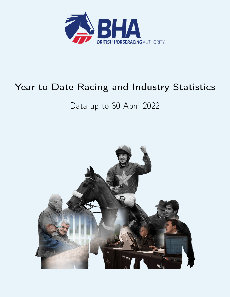

# Year to Date Racing and Industry Statistics

# Data up to 30 April 2022

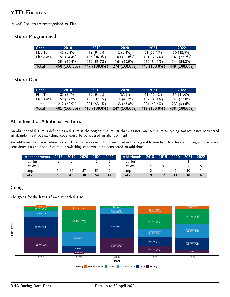# YTD Fixtures

`Mixed' Fixtures are recategorised as `Flat'.

### Fixtures Programmed

| Code      | 2018         | 2019         | 2020         | 2021         | 2022         |
|-----------|--------------|--------------|--------------|--------------|--------------|
| Flat Turf | 41 $(91\%)$  | 42 $(9.4\%)$ | $1(0.4\%)$   | $51(11.4\%)$ | 56(12.5%)    |
| Flat AWT  | 155(34.4%)   | 156 (34.9%)  | $109(398\%)$ | 151 (33.7%)  | 149 (33 2%)  |
| Jump      | 254(56.4%)   | 249 (55.7%)  | 164 (59.9%)  | 246 (54 9%)  | 244 (54 3%)  |
| Total     | 450 (100.0%) | 447 (100.0%) | 274 (100.0%) | 448 (100.0%) | 449 (100.0%) |

### Fixtures Ran

| Code         | 2018          | 2019         | 2020           | 2021         | 2022         |
|--------------|---------------|--------------|----------------|--------------|--------------|
| Flat Turf    | $32(8.0\%)$   | 39 $(9.4\%)$ | NA (-)         | $51(12.4\%)$ | 51(11.6%)    |
| Flat AWT     | $157(39.2\%)$ | 156 (37.5%)  | 114 $(46.2\%)$ | $157(381\%)$ | 148 (33.8%)  |
| Jump         | $212(52.9\%)$ | $221(531\%)$ | 133 (53.8%)    | 204 (49.5%)  | 239 (54 6%)  |
| <b>Total</b> | 401 (100.0%)  | 416 (100.0%) | 247 (100.0%)   | 412 (100.0%) | 438 (100.0%) |

### Abandoned & Additional Fixtures

An abandoned fixture is defined as a fixture in the original fixture list that was not run. A fixture switching surface is not considered an abandonment but switching code would be considered an abandonment.

An additional fixture is defined as a fixture that was ran but not included in the original fixture list. A fixture switching surface is not considered an additional fixture but switching code would be considered an additional.

| <b>Abandonments</b> | 2018 | 2019 | 2020 | 2021 | 2022 | <b>Additionals</b> | 2018 | 2019 | 2020 | 2021 | 2022 |
|---------------------|------|------|------|------|------|--------------------|------|------|------|------|------|
| Flat Turf           |      |      |      |      |      | Flat Turf          |      |      |      |      |      |
| Flat AWT            |      |      |      |      |      | Flat AWT           |      |      |      |      |      |
| Jump                | 54   |      |      | 52   |      | Jump               |      |      |      |      |      |
| Total               | 68   | 43   | 38   | 54   |      | Total              |      |      |      |      |      |

#### Going

The going for the last turf race at each fixture.

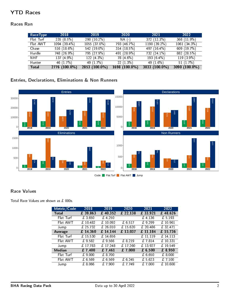# YTD Races

### Races Ran

| RaceType     | 2018          | 2019          | 2020          | 2021           | 2022          |
|--------------|---------------|---------------|---------------|----------------|---------------|
| Flat Turf    | 235(85%)      | 290 $(102\%)$ | $NA(-)$       | 372 (12.3%)    | 368 (11 9%)   |
| Flat AWT     | 1094 (39.4%)  | 1055(370%)    | 793 (46.7%)   | $1190(39.2\%)$ | 1061(343%)    |
| Chase        | 516 (18.6%)   | 542 (190%)    | $314(18.5\%)$ | 497 (16.4%)    | 609 $(19.7%)$ |
| Hurdle       | 748 (26.9%)   | 795 (27.9%)   | 491 (28.9%)   | 732 (24.1%)    | 882(285%)     |
| NHF.         | $137(49\%)$   | 122(4.3%)     | 78 (4 6%)     | 193 $(6.4\%)$  | 119 (3.9%)    |
| Hunter       | 46 $(1.7%)$   | 49 (1.7%)     | 22(1.3%)      | 49 (1.6%)      | 51 $(1.7%)$   |
| <b>Total</b> | 2776 (100.0%) | 2853 (100.0%) | 1698 (100.0%) | 3033 (100.0%)  | 3090 (100.0%) |

# Entries, Declarations, Eliminations & Non Runners



### Race Values

Total Race Values are shown as £ 000s.

| Metric/Code   | 2018     | 2019     | 2020                         | 2021                 | 2022     |
|---------------|----------|----------|------------------------------|----------------------|----------|
| <b>Total</b>  | £ 39,863 | £ 40,352 | £ 22,138                     | £ 33,921             | £48,626  |
| Flat Turf     | £3,650   | £ 4,250  |                              | £4,136               | £5.193   |
| Flat AWT      | £ 10,482 | £ 10,092 | £ 6,517                      | $\overline{f}$ 9,299 | £ 10,961 |
| Jump          | £ 25,732 | £26,010  | $\overline{\text{£}}$ 15,620 | £ 20,486             | £ 32,471 |
| Average       | £14,360  | £ 14,144 | £ 13,037                     | £ 11,184             | £15,736  |
| Flat Turf     | £ 15,530 | £ 14,656 |                              | £ 11,119             | £ 14,113 |
| Flat AWT      | £9,582   | £9566    | £ 8,219                      | £7814                | £10,331  |
| Jump          | £ 17,783 | £ 17,248 | £ $17,260$                   | £ 13,927             | £ 19,549 |
| <b>Median</b> | £7,400   | £ 7,461  | £7,000                       | £ 6,500              | £ 8,950  |
| Flat Turf     | £ 9,000  | £ 8,700  |                              | £ 6.650              | £ 8,000  |
| Flat AWT      | £ 6.569  | £ 6.569  | £6.245                       | £5.623               | £7,100   |
| Jump          | £ 8,066  | £7,900   | £ 7,749                      | £7.000               | £10,600  |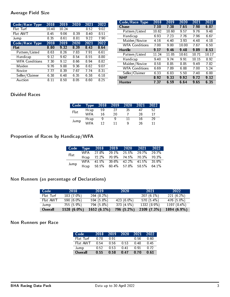### Average Field Size

| Code/Race Type        | 2018  | 2019 | 2020              | 2021 | 2022 |
|-----------------------|-------|------|-------------------|------|------|
| Flat Turf             | 1040  | 1024 |                   | 8.52 | 9.02 |
| Flat AWT              | 845   | 9.06 | 8.39              | 8.40 | 8.51 |
| Jump                  | 835   | 8.61 | 8.81              | 9.22 | 7 90 |
| Code/Race Type        | 2018  | 2019 | $\overline{2020}$ | 2021 | 2022 |
| Flat                  | 8.80  | 9.32 | 8.39              | 8.43 | 8.64 |
| Pattern/Listed        | 8.63  | 8.26 | 7.83              | 7.91 | 6.61 |
| Handicap              | 9.12  | 9.62 | 8.54              | 8.55 | 8.80 |
| <b>WFA Conditions</b> | 7.30  | 9.12 | 8.66              | 8.94 | 8.82 |
| Maiden                | 9.76  | 988  | 9.36              | 8.62 | 9.07 |
| Novice                | 7.77  | 8.39 | 7.67              | 7.74 | 8.31 |
| Seller/Claimer        | 6.38  | 648  | 6.35              | 6.38 | 6.18 |
| Auction               | 8 1 1 | 8.50 | 8.05              | 8.60 | 8.25 |

| Code/Race Type        | 2018  | 2019  | 2020  | 2021  | 2022  |
|-----------------------|-------|-------|-------|-------|-------|
| <b>Chase</b>          | 7.10  | 7.38  | 7.65  | 7.98  | 687   |
| Pattern/Listed        | 10.62 | 10.60 | 9.57  | 9.76  | 9.48  |
| Handicap              | 6.93  | 7.23  | 7.76  | 796   | 667   |
| Maiden/Novice         | 4.16  | 4.40  | 3.93  | 4.48  | 418   |
| <b>WFA Conditions</b> | 7.00  | 9.00  | 10.00 | 7.67  | 6.50  |
| <b>Hurdle</b>         | 9.17  | 946   | 9.48  | 9.89  | 8.53  |
| Pattern/Listed        | 11.24 | 11.05 | 10.61 | 10.71 | 10 17 |
| Handicap              | 9.40  | 9.74  | 991   | 10 15 | 8.92  |
| Maiden/Novice         | 858   | 8.85  | 8.85  | 9.49  | 782   |
| <b>WFA Conditions</b> | 6.69  | 789   | 6.88  | 7.00  | 5.24  |
| Seller/Claimer        | 6 33  | 683   | 5.50  | 7.40  | 6.00  |
| <b>NHF</b>            | 8.92  | 933   | 992   | 9.72  | 9 1 2 |
| <b>Hunter</b>         | 7 37  | 6.59  | 6.64  | 965   | 6 35  |

# Divided Races

| Code | Type | 2018 | 2019 | 2020 | 2021 | 2022 |
|------|------|------|------|------|------|------|
| Flat | Hcap | 59   | 27   | 35   | 47   | 52   |
|      | WFA  | 16   | 20   |      | 28   | 17   |
|      | Hcap | 9    | q    |      | 16   | 29   |
| Jump | WFA  | 12   | 11   | Q    | 26   |      |

# Proportion of Races by Handicap/WFA

|       |  | Code Type $2018$ $2019$ $2020$ $2021$ $2022$ |       |
|-------|--|----------------------------------------------|-------|
| Flat. |  | WFA 27.8% 29.1% 25.5% 29.7% 29.7%            |       |
|       |  | Hcap 72.2% 70.9% 74.5% 70.3% 70.3%           |       |
| Jump  |  | WFA 41.5% 39.6% 42.2% 41.5% 35.9%            |       |
|       |  | Hcap 58.5% 60.4% 57.8% 58.5%                 | 64 1% |

# Non Runners (as percentage of Declarations)

| Code      | 2018        | 2019          | 2020       | 2021         | 2022           |
|-----------|-------------|---------------|------------|--------------|----------------|
| Flat Turf | 183 (7.0%)  | 264 (8.2%)    |            | $207(61\%)$  | $221(6.2\%)$   |
| Flat AWT  | 590 (6.0%)  | $594(58\%)$   | 423 (6.0%) | $570(5.4\%)$ | 476 (5.0%)     |
| Jump      | 755 (5.9%)  | 794 (5.8%)    | 373(4.5%)  | 1332 (8.9%)  | 1197 $(8.4\%)$ |
| Overall   | 1528 (6.0%) | $1652(6.1\%)$ | 796(5.2%)  | 2109(7.3%)   | 1894(6.9%)     |

### Non Runners per Race

| Code      | 2018 | 2019        | 2020 | 2021 | 2022 |
|-----------|------|-------------|------|------|------|
| Flat Turf | 0.78 | በ 91        |      | 0.56 | 0 GO |
| Flat AWT  | 0.54 | <u>በ 56</u> | 0.53 | በ 48 | 0.45 |
| Jump      | 0.52 | 0.53        | በ 41 | በ 91 | በ 72 |
| Overall   | 0.55 | O 58        | O 47 | 0.70 | 0.61 |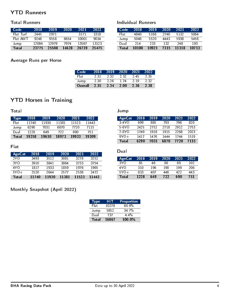# YTD Runners

### Total Runners

| Code         | 2018  | 2019  | 2020  | 2021  | 2022  |
|--------------|-------|-------|-------|-------|-------|
| Flat Turf    | 2445  | 2971  |       | 3171  | 3318  |
| Flat AWT     | 9246  | 9558  | 6654  | 10001 | 9034  |
| Jump         | 12084 | 12979 | 7974  | 13567 | 13123 |
| <b>Total</b> | 23775 | 25508 | 14628 | 26739 | 25475 |

### Average Runs per Horse

| Code <sup>1</sup> | 2018 | 2019 | $-2020$ | 2021 | 2022 |
|-------------------|------|------|---------|------|------|
| Flati             | 2.31 | 2.32 | 2.32    | 245  | 2.35 |
| Jump              | 2.30 | 226  | 174     | 2 19 | 2.32 |
| Overall           | 2.35 | 2.34 | 2.00    | 2.36 | 2.38 |

Individual Runners

# YTD Horses in Training

Total

| Type <sub>l</sub> | 2018  | 2019  | 2020  | 2021  | 2022  |
|-------------------|-------|-------|-------|-------|-------|
| Flat              | 11740 | 11930 | 11381 | 11523 | 11443 |
| Jump              | 6290  | 7031  | 6870  | 7720  | 7115  |
| Dual              | 1228  | 649   | 722   | 690   | 751   |
| Total             | 19258 | 19610 | 18973 | 19933 | 19309 |

### Flat

| AgeCat          | 2018  | 2019  | 2020  | 2021  | 2022  |
|-----------------|-------|-------|-------|-------|-------|
| 2Y <sub>O</sub> | 3493  | 3512  | 3081  | 3278  | 3252  |
| 3Y O            | 3910  | 3841  | 3864  | 3733  | 3754  |
| 4Y O            | 1817  | 1933  | 1859  | 1976  | 1965  |
| $5Y0+$          | 2520  | 2644  | 2577  | 2536  | 2472  |
| Total           | 11740 | 11930 | 11381 | 11523 | 11443 |

### AgeCat 2018 2019 2020 2021 2022 3-4YO 699 885 793 796 820 5-6YO 2425 2752 2718 2912 2753 7-8YO 1749 1918 1915 2268 2023 9YO+ 1417 1476 1444 1744 1519<br>Total 6290 7031 6870 7720 7115 7720

Dual

Jump

| AgeCat          | 2018 | 2019 | 2020 | 2021 | 2022 |
|-----------------|------|------|------|------|------|
| 3Y <sub>0</sub> | 85   | 46   | 86   | 69   | 102  |
| 4YO             | 310  | 196  | 190  | 199  | 206  |
| $5Y0+$          | 833  | 407  | 446  | 422  | 443  |
| Total           | 1228 | 649  | 722  | 690  | 751  |

# Monthly Snapshot (April 2022)

| <b>Type</b>  | HIT   | Proportion |
|--------------|-------|------------|
| Flat         | 10278 | 60.9%      |
| Jump         | 5852  | 347%       |
| Dual         | 737   | $4.4\%$    |
| <b>Total</b> | 16867 | 100.0%     |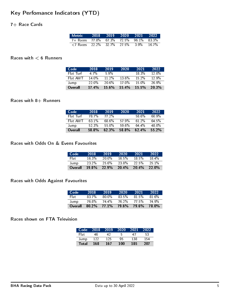# Key Perfomance Indicators (YTD)

### 7+ Race Cards

| Metric 2018 2019 2020 2021 2022                                  |  |         |       |
|------------------------------------------------------------------|--|---------|-------|
| 7+ Races 77.8% 67.3% 72.5% 96.1% 83.3%                           |  |         |       |
| $\langle 7 \text{ Races} \quad 22.2\% \quad 32.7\% \quad 27.5\%$ |  | $3.9\%$ | 16 7% |

### Races with  $< 6$  Runners

| Code      | 2018              | 2019     | 2020     | 2021     | 2022     |
|-----------|-------------------|----------|----------|----------|----------|
| Flat Turf | 47%               | 59%      |          | 18.3%    | $12.0\%$ |
| Flat AWT  | 14 በ%             | 11 2\%   | $13.6\%$ | $15.2\%$ | $129\%$  |
| Jump      | 22.0 <sup>%</sup> | 20.6%    | 17.0%    | $15.0\%$ | 26.9%    |
| Overall   | 17.4%             | $15.6\%$ | 15.4%    | 15.5%    | 20.3%    |

### Races with  $8+$  Runners

| Code      | 2018     | 2019  | 2020  | 2021     | 2022     |
|-----------|----------|-------|-------|----------|----------|
| Flat Turf | 78.7%    | 77 2% |       | 58.6%    | 60 ዓ%    |
| Flat AWT  | 63 1 $%$ | 68.6% | 57.9% | $61,2\%$ | 64.5%    |
| Jump      | $52.3\%$ | 55.0% | 59.6% | 64.4%    | 48.0%    |
| Overall   | 58.8%    | 62.3% | 58.8% | $62.4\%$ | $55.2\%$ |

#### Races with Odds On & Evens Favourites

| Code    | 2018     | 2019     | 2020     | 2021     | 2022  |
|---------|----------|----------|----------|----------|-------|
| Flat:   | 16.3%    | 20.0%    | $16.5\%$ | $18.5\%$ | 184%  |
| Jump    | $23.2\%$ | $25.6\%$ | 23.8%    | 22.5%    | 251%  |
| Overall | $19.8\%$ | 22.9%    | 20.4%    | 20.4%    | 22.0% |

## Races with Odds Against Favourites

| Code    | 2018    | 2019         | 2020  | 2021  | 2022     |
|---------|---------|--------------|-------|-------|----------|
| Flat    | $837\%$ | 80.0%        | 83.5% | 81.5% | $81.6\%$ |
| Jump    | 76.8%   | 74.4%        | 76.2% | 77.5% | 74 9%    |
| Overall | 80.2%   | <b>77.1%</b> | 79.6% | 796%  | 78.0%    |

### Races shown on FTA Television

| Code         | 2018 | 2019 | 2020 | 2021 | 2022 |
|--------------|------|------|------|------|------|
| Flat         | 46   | 42   | Б,   | 47   | 53   |
| Jump         | 122  | 125  | 95   | 138  | 154  |
| <b>Total</b> | 168  | 167  | 100  | 185  | 207  |